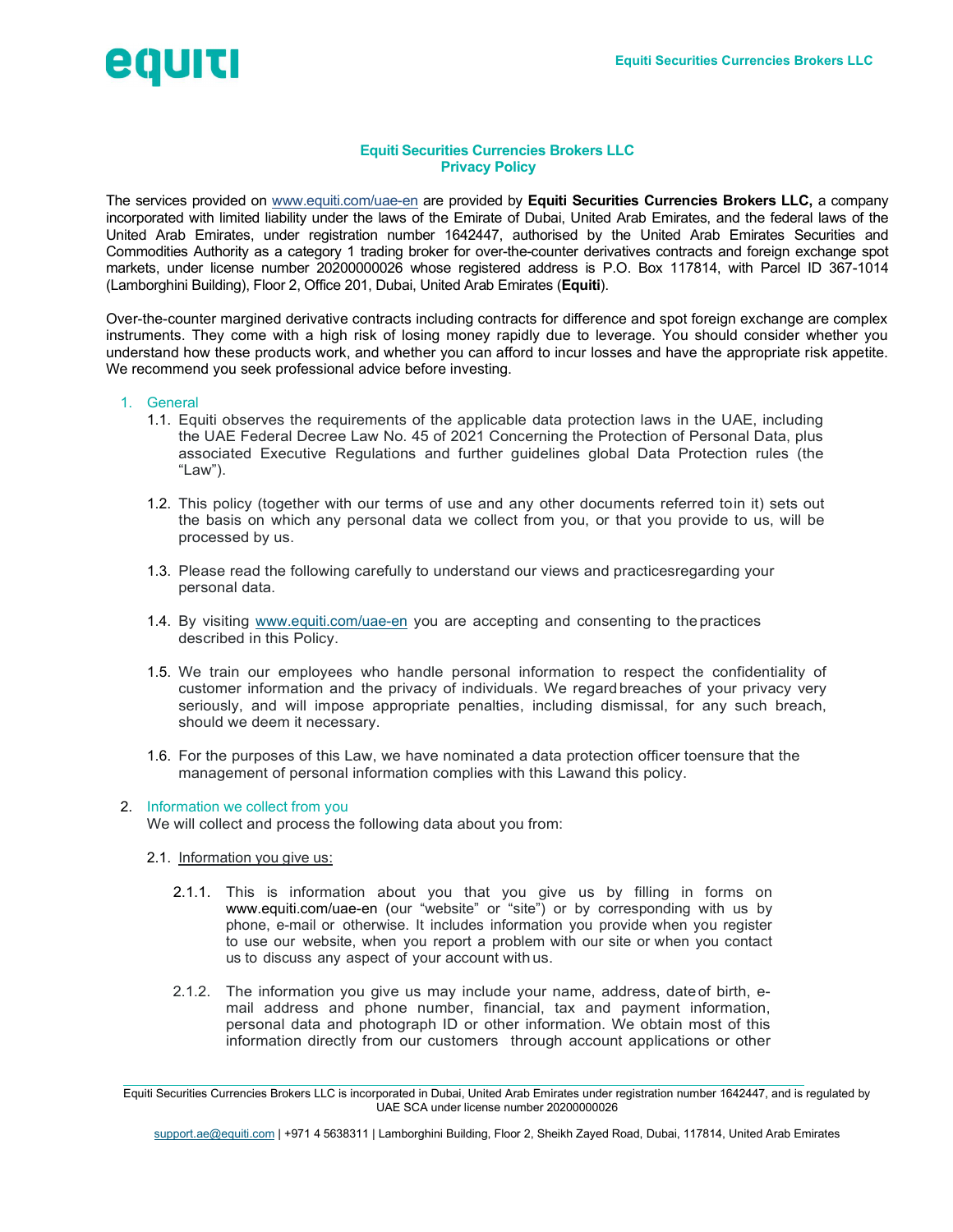

# Equiti Securities Currencies Brokers LLC Privacy Policy

The services provided on www.equiti.com/uae-en are provided by Equiti Securities Currencies Brokers LLC, a company incorporated with limited liability under the laws of the Emirate of Dubai, United Arab Emirates, and the federal laws of the United Arab Emirates, under registration number 1642447, authorised by the United Arab Emirates Securities and Commodities Authority as a category 1 trading broker for over-the-counter derivatives contracts and foreign exchange spot markets, under license number 20200000026 whose registered address is P.O. Box 117814, with Parcel ID 367-1014 (Lamborghini Building), Floor 2, Office 201, Dubai, United Arab Emirates (Equiti).

Over-the-counter margined derivative contracts including contracts for difference and spot foreign exchange are complex instruments. They come with a high risk of losing money rapidly due to leverage. You should consider whether you understand how these products work, and whether you can afford to incur losses and have the appropriate risk appetite. We recommend you seek professional advice before investing.

## 1. General

- 1.1. Equiti observes the requirements of the applicable data protection laws in the UAE, including the UAE Federal Decree Law No. 45 of 2021 Concerning the Protection of Personal Data, plus associated Executive Regulations and further guidelines global Data Protection rules (the "Law").
- 1.2. This policy (together with our terms of use and any other documents referred toin it) sets out the basis on which any personal data we collect from you, or that you provide to us, will be processed by us.
- 1.3. Please read the following carefully to understand our views and practices regarding your personal data.
- 1.4. By visiting www.equiti.com/uae-en you are accepting and consenting to the practices described in this Policy.
- 1.5. We train our employees who handle personal information to respect the confidentiality of customer information and the privacy of individuals. We regard breaches of your privacy very seriously, and will impose appropriate penalties, including dismissal, for any such breach, should we deem it necessary.
- 1.6. For the purposes of this Law, we have nominated a data protection officer to ensure that the management of personal information complies with this Law and this policy.

## 2. Information we collect from you

We will collect and process the following data about you from:

- 2.1. Information you give us:
	- 2.1.1. This is information about you that you give us by filling in forms on www.equiti.com/uae-en (our "website" or "site") or by corresponding with us by phone, e-mail or otherwise. It includes information you provide when you register to use our website, when you report a problem with our site or when you contact us to discuss any aspect of your account with us.
	- 2.1.2. The information you give us may include your name, address, date of birth, email address and phone number, financial, tax and payment information, personal data and photograph ID or other information. We obtain most of this information directly from our customers through account applications or other

Equiti Securities Currencies Brokers LLC is incorporated in Dubai, United Arab Emirates under registration number 1642447, and is regulated by UAE SCA under license number 20200000026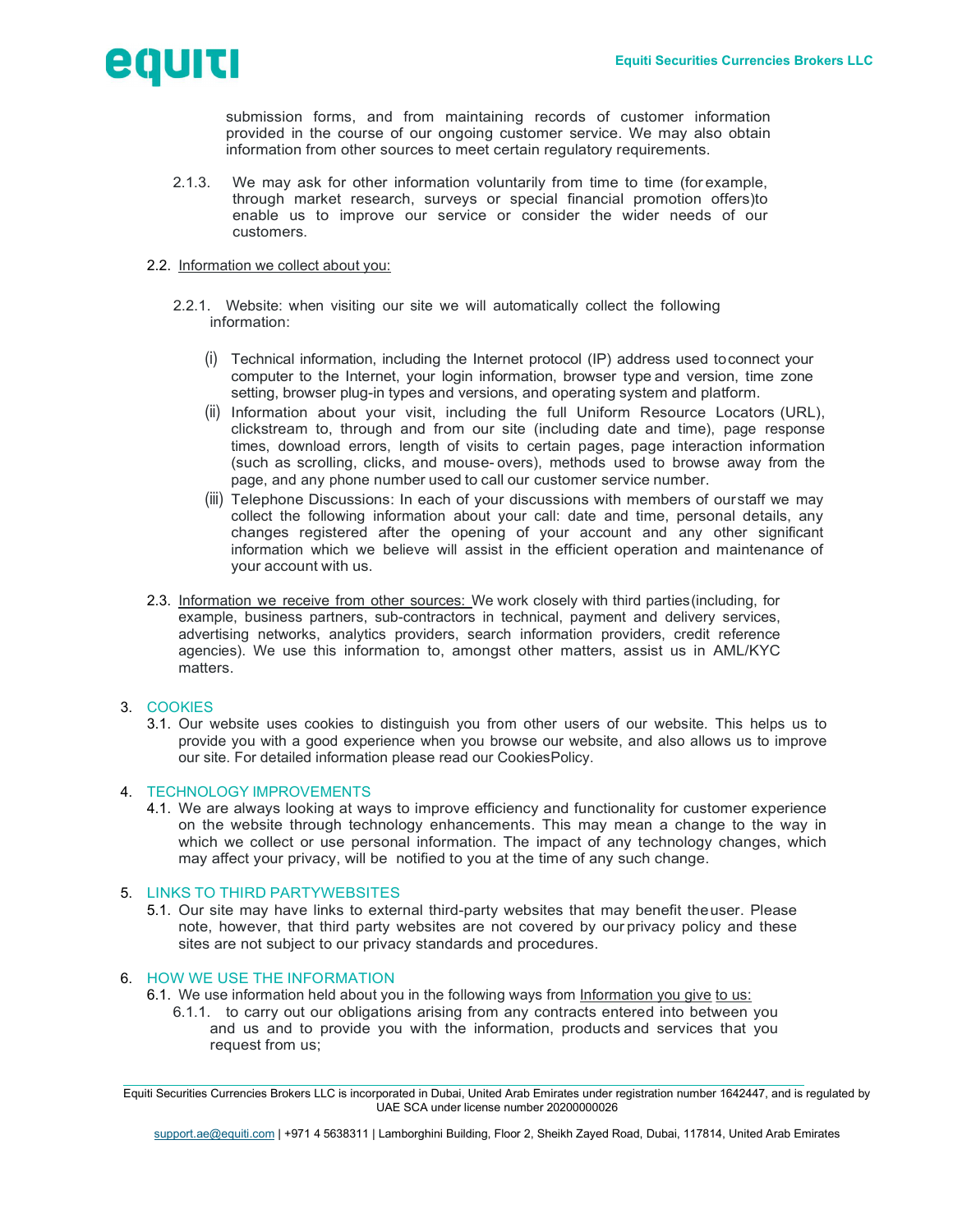

submission forms, and from maintaining records of customer information provided in the course of our ongoing customer service. We may also obtain information from other sources to meet certain regulatory requirements.

- 2.1.3. We may ask for other information voluntarily from time to time (for example, through market research, surveys or special financial promotion offers)to enable us to improve our service or consider the wider needs of our customers.
- 2.2. Information we collect about you:
	- 2.2.1. Website: when visiting our site we will automatically collect the following information:
		- (i) Technical information, including the Internet protocol (IP) address used to connect your computer to the Internet, your login information, browser type and version, time zone setting, browser plug-in types and versions, and operating system and platform.
		- (ii) Information about your visit, including the full Uniform Resource Locators (URL), clickstream to, through and from our site (including date and time), page response times, download errors, length of visits to certain pages, page interaction information (such as scrolling, clicks, and mouse- overs), methods used to browse away from the page, and any phone number used to call our customer service number.
		- (iii) Telephone Discussions: In each of your discussions with members of our staff we may collect the following information about your call: date and time, personal details, any changes registered after the opening of your account and any other significant information which we believe will assist in the efficient operation and maintenance of your account with us.
- 2.3. Information we receive from other sources: We work closely with third parties (including, for example, business partners, sub-contractors in technical, payment and delivery services, advertising networks, analytics providers, search information providers, credit reference agencies). We use this information to, amongst other matters, assist us in AML/KYC matters.
- 3. COOKIES
	- 3.1. Our website uses cookies to distinguish you from other users of our website. This helps us to provide you with a good experience when you browse our website, and also allows us to improve our site. For detailed information please read our Cookies Policy.

# 4. TECHNOLOGY IMPROVEMENTS

4.1. We are always looking at ways to improve efficiency and functionality for customer experience on the website through technology enhancements. This may mean a change to the way in which we collect or use personal information. The impact of any technology changes, which may affect your privacy, will be notified to you at the time of any such change.

# 5. LINKS TO THIRD PARTYWEBSITES

5.1. Our site may have links to external third-party websites that may benefit the user. Please note, however, that third party websites are not covered by our privacy policy and these sites are not subject to our privacy standards and procedures.

## 6. HOW WE USE THE INFORMATION

6.1. We use information held about you in the following ways from Information you give to us:

6.1.1. to carry out our obligations arising from any contracts entered into between you and us and to provide you with the information, products and services that you request from us;

Equiti Securities Currencies Brokers LLC is incorporated in Dubai, United Arab Emirates under registration number 1642447, and is regulated by UAE SCA under license number 20200000026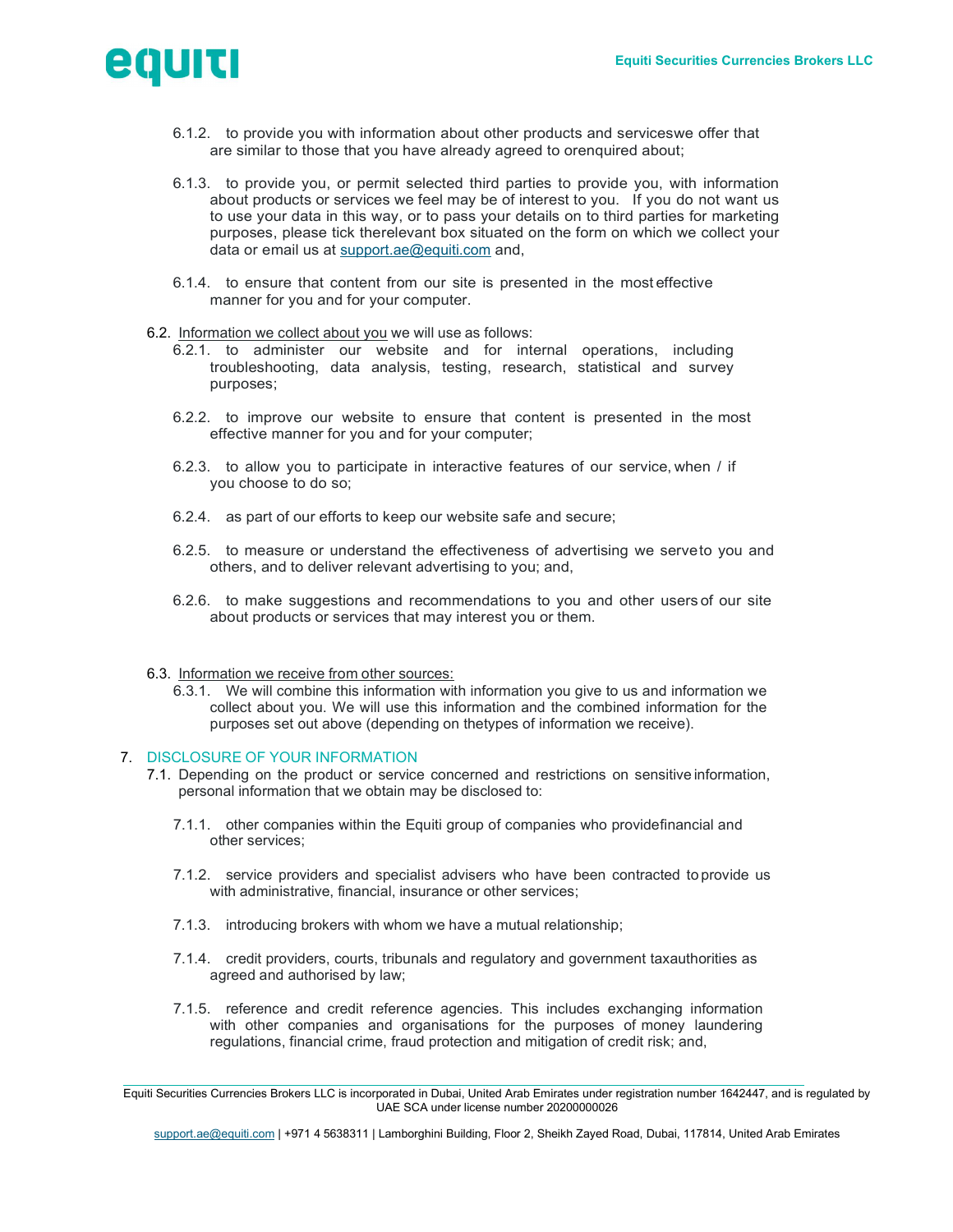

- 6.1.2. to provide you with information about other products and services we offer that are similar to those that you have already agreed to orenquired about;
- 6.1.3. to provide you, or permit selected third parties to provide you, with information about products or services we feel may be of interest to you. If you do not want us to use your data in this way, or to pass your details on to third parties for marketing purposes, please tick the relevant box situated on the form on which we collect your data or email us at support.ae@equiti.com and,
- 6.1.4. to ensure that content from our site is presented in the most effective manner for you and for your computer.

### 6.2. Information we collect about you we will use as follows:

- 6.2.1. to administer our website and for internal operations, including troubleshooting, data analysis, testing, research, statistical and survey purposes;
- 6.2.2. to improve our website to ensure that content is presented in the most effective manner for you and for your computer;
- 6.2.3. to allow you to participate in interactive features of our service, when / if you choose to do so;
- 6.2.4. as part of our efforts to keep our website safe and secure;
- 6.2.5. to measure or understand the effectiveness of advertising we serve to you and others, and to deliver relevant advertising to you; and,
- 6.2.6. to make suggestions and recommendations to you and other users of our site about products or services that may interest you or them.
- 6.3. Information we receive from other sources:
	- 6.3.1. We will combine this information with information you give to us and information we collect about you. We will use this information and the combined information for the purposes set out above (depending on the types of information we receive).

#### 7. DISCLOSURE OF YOUR INFORMATION

- 7.1. Depending on the product or service concerned and restrictions on sensitive information, personal information that we obtain may be disclosed to:
	- 7.1.1. other companies within the Equiti group of companies who provide financial and other services;
	- 7.1.2. service providers and specialist advisers who have been contracted to provide us with administrative, financial, insurance or other services;
	- 7.1.3. introducing brokers with whom we have a mutual relationship;
	- 7.1.4. credit providers, courts, tribunals and regulatory and government taxauthorities as agreed and authorised by law;
	- 7.1.5. reference and credit reference agencies. This includes exchanging information with other companies and organisations for the purposes of money laundering regulations, financial crime, fraud protection and mitigation of credit risk; and,

Equiti Securities Currencies Brokers LLC is incorporated in Dubai, United Arab Emirates under registration number 1642447, and is regulated by UAE SCA under license number 20200000026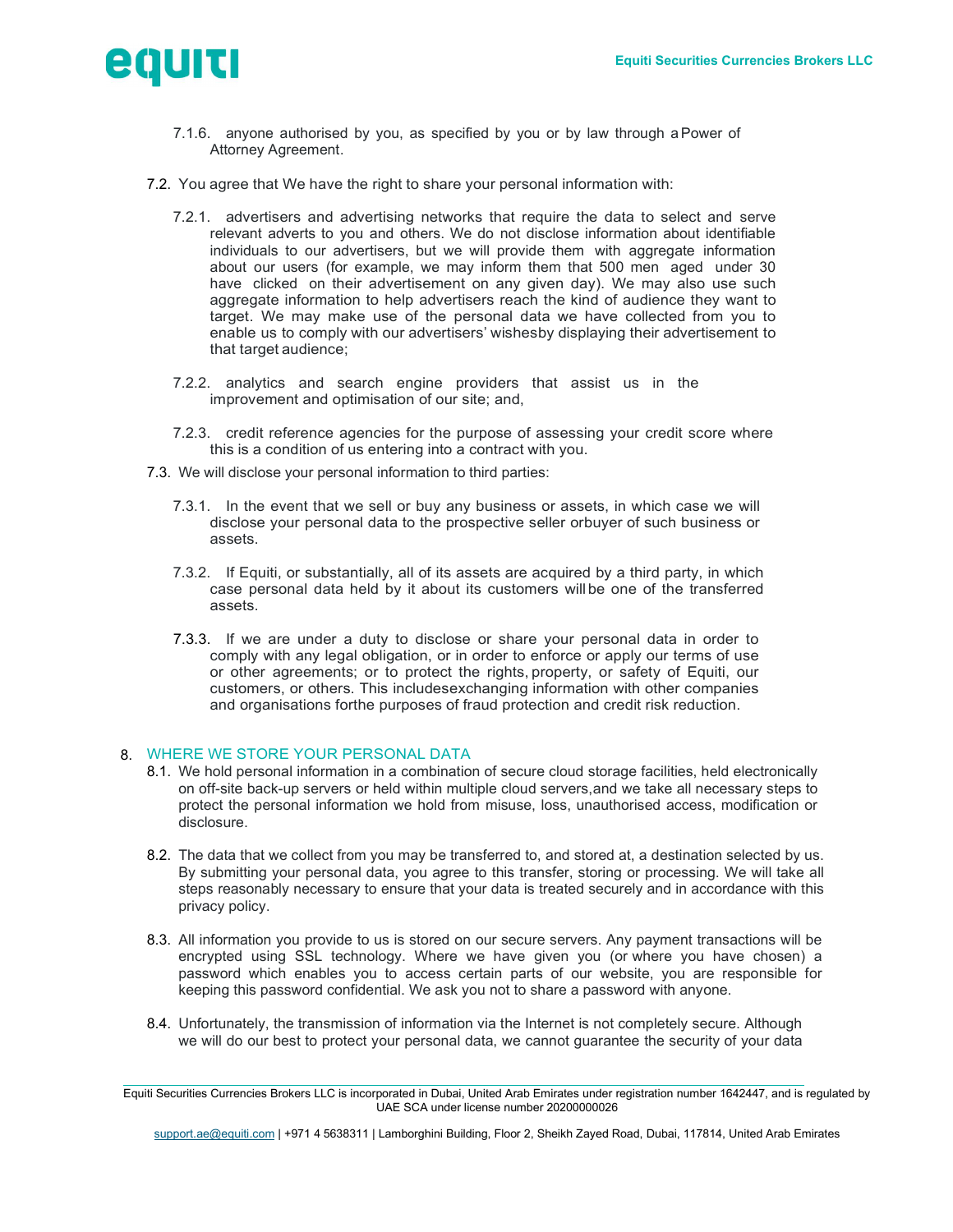

- 7.1.6. anyone authorised by you, as specified by you or by law through a Power of Attorney Agreement.
- 7.2. You agree that We have the right to share your personal information with:
	- 7.2.1. advertisers and advertising networks that require the data to select and serve relevant adverts to you and others. We do not disclose information about identifiable individuals to our advertisers, but we will provide them with aggregate information about our users (for example, we may inform them that 500 men aged under 30 have clicked on their advertisement on any given day). We may also use such aggregate information to help advertisers reach the kind of audience they want to target. We may make use of the personal data we have collected from you to enable us to comply with our advertisers' wishes by displaying their advertisement to that target audience;
	- 7.2.2. analytics and search engine providers that assist us in the improvement and optimisation of our site; and,
	- 7.2.3. credit reference agencies for the purpose of assessing your credit score where this is a condition of us entering into a contract with you.
- 7.3. We will disclose your personal information to third parties:
	- 7.3.1. In the event that we sell or buy any business or assets, in which case we will disclose your personal data to the prospective seller orbuyer of such business or assets.
	- 7.3.2. If Equiti, or substantially, all of its assets are acquired by a third party, in which case personal data held by it about its customers will be one of the transferred assets.
	- 7.3.3. If we are under a duty to disclose or share your personal data in order to comply with any legal obligation, or in order to enforce or apply our terms of use or other agreements; or to protect the rights, property, or safety of Equiti, our customers, or others. This includes exchanging information with other companies and organisations for the purposes of fraud protection and credit risk reduction.

## 8. WHERE WE STORE YOUR PERSONAL DATA

- 8.1. We hold personal information in a combination of secure cloud storage facilities, held electronically on off-site back-up servers or held within multiple cloud servers, and we take all necessary steps to protect the personal information we hold from misuse, loss, unauthorised access, modification or disclosure.
- 8.2. The data that we collect from you may be transferred to, and stored at, a destination selected by us. By submitting your personal data, you agree to this transfer, storing or processing. We will take all steps reasonably necessary to ensure that your data is treated securely and in accordance with this privacy policy.
- 8.3. All information you provide to us is stored on our secure servers. Any payment transactions will be encrypted using SSL technology. Where we have given you (or where you have chosen) a password which enables you to access certain parts of our website, you are responsible for keeping this password confidential. We ask you not to share a password with anyone.
- 8.4. Unfortunately, the transmission of information via the Internet is not completely secure. Although we will do our best to protect your personal data, we cannot guarantee the security of your data

Equiti Securities Currencies Brokers LLC is incorporated in Dubai, United Arab Emirates under registration number 1642447, and is regulated by UAE SCA under license number 20200000026